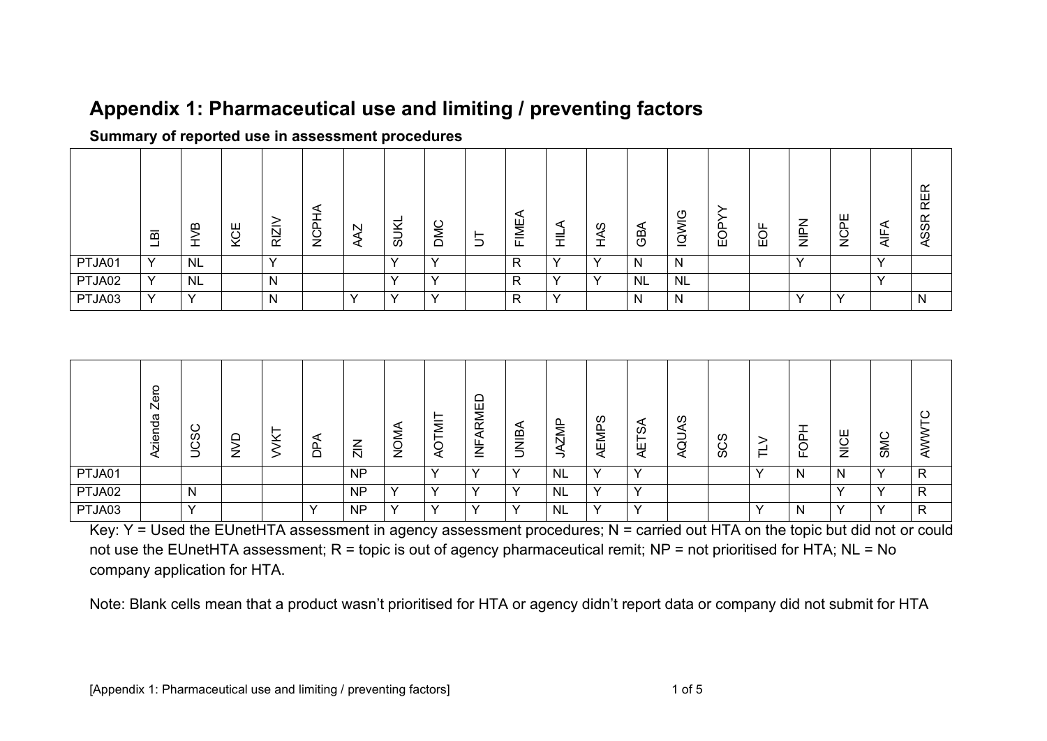# **Appendix 1: Pharmaceutical use and limiting / preventing factors**

### **Summary of reported use in assessment procedures**

|        | 靣<br>ᆜ | $\mathbf{m}$<br>╼ | Ш<br>δ, | $\overline{\mathbf{N}}$<br>œ | a<br>ᄔ<br>$\overline{\phantom{a}}$<br>پ | $\mathbb N$<br>ℯ<br>◅ | -<br>$\overline{\underline{\smile}}$<br>–<br>ಹ | C<br>Ž<br>$\Omega$ | ⊢<br>∽<br>– | ⋖<br>FIME | ◅<br>=<br>÷ | ၯ<br>- | ⋖<br>සී   | ு<br>-<br>$\sim$<br>ب<br>_ | ட<br>입 | ட<br>E | NeN<br>Nik | Ш<br>$\frac{0}{2}$ | ◅<br>ட | <b>RER</b><br><b>ASSR</b> |
|--------|--------|-------------------|---------|------------------------------|-----------------------------------------|-----------------------|------------------------------------------------|--------------------|-------------|-----------|-------------|--------|-----------|----------------------------|--------|--------|------------|--------------------|--------|---------------------------|
| PTJA01 |        | <b>NL</b>         |         |                              |                                         |                       |                                                |                    |             | R         |             |        | N         | N                          |        |        |            |                    |        |                           |
| PTJA02 | v      | <b>NL</b>         |         | N                            |                                         |                       |                                                |                    |             | R         |             |        | <b>NL</b> | <b>NL</b>                  |        |        |            |                    |        |                           |
| PTJA03 |        | $\checkmark$      |         | N                            |                                         |                       |                                                | \/                 |             | R         | ↖.          |        | N         | N                          |        |        |            | $\checkmark$       |        | N                         |

|        | Ο<br>Φ<br>N<br>ω<br>ా<br>.உ | ပ<br>ၯ<br>Ö<br>⊃ | z | ┶ | $\leq$<br>$\mathbb N$ | ◀<br>⋝<br>$\overline{\phantom{0}}$<br>$\check{ }$<br>z | ↽<br>∽ | 品<br>๔<br>⊲<br>ட<br>⇁<br>▃<br>- | ⊲<br>$\frac{1}{2}$<br>←<br>⊃ | ↖<br>っ    | ળ<br>┶<br>↽<br>⋍<br>ш | ⋖<br><b>SO</b><br>⊢<br>当 | ળ<br>◅<br>$\tilde{\phantom{a}}$<br>⊲ | ഗ<br>ပ<br>ഗ | ー | $\Omega$<br>$\overline{O}$<br>ட | ш<br>C<br>-<br>z | $\check{ }$<br>≂<br>$\omega$ | ပ<br>Я |
|--------|-----------------------------|------------------|---|---|-----------------------|--------------------------------------------------------|--------|---------------------------------|------------------------------|-----------|-----------------------|--------------------------|--------------------------------------|-------------|---|---------------------------------|------------------|------------------------------|--------|
| PTJA01 |                             |                  |   |   | <b>NP</b>             |                                                        |        |                                 |                              | <b>NL</b> |                       |                          |                                      |             |   | N.                              |                  |                              | R      |
| PTJA02 |                             | <sup>N</sup>     |   |   | <b>NP</b>             | $\checkmark$                                           |        |                                 |                              | <b>NL</b> |                       |                          |                                      |             |   |                                 |                  |                              | R      |
| PTJA03 |                             |                  |   |   | <b>NP</b>             | $\checkmark$                                           |        |                                 |                              | <b>NL</b> |                       |                          |                                      |             |   | N                               |                  |                              | R      |

Key: Y = Used the EUnetHTA assessment in agency assessment procedures; N = carried out HTA on the topic but did not or could not use the EUnetHTA assessment;  $R =$  topic is out of agency pharmaceutical remit;  $NP =$  not prioritised for HTA;  $NL = No$ company application for HTA.

Note: Blank cells mean that a product wasn't prioritised for HTA or agency didn't report data or company did not submit for HTA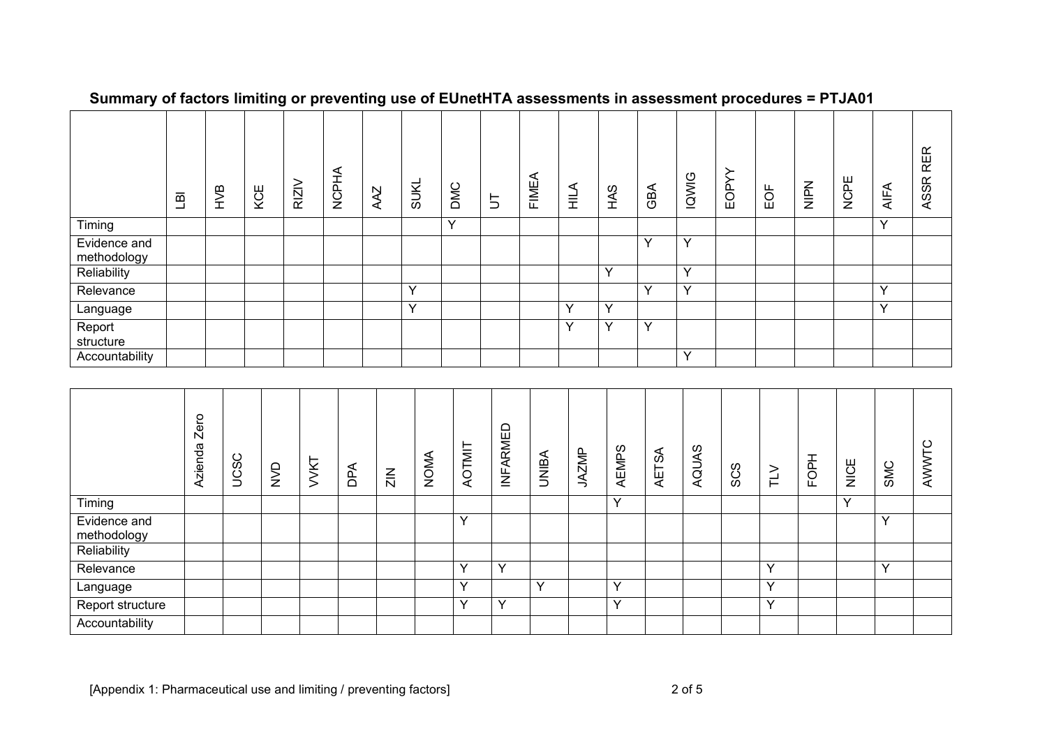|                             | $\overline{B}$ | ЯVН | KCE | <b>RIZIV</b> | <b>NCPHA</b> | AAZ | <b>SUKL</b>  | <b>DINC</b> | $\overline{5}$ | FIMEA | ⋖<br>륖       | <b>SVH</b>   | GBA          | <b>IQWIG</b> | ≻<br>EOPY | EOF | NIPN | <b>NCPE</b> | <b>AIFA</b>  | <b>RER</b><br><b>ASSR</b> |
|-----------------------------|----------------|-----|-----|--------------|--------------|-----|--------------|-------------|----------------|-------|--------------|--------------|--------------|--------------|-----------|-----|------|-------------|--------------|---------------------------|
| Timing                      |                |     |     |              |              |     |              | v           |                |       |              |              |              |              |           |     |      |             | $\mathbf{v}$ |                           |
| Evidence and<br>methodology |                |     |     |              |              |     |              |             |                |       |              |              | $\checkmark$ | $\checkmark$ |           |     |      |             |              |                           |
| Reliability                 |                |     |     |              |              |     |              |             |                |       |              | $\checkmark$ |              | $\checkmark$ |           |     |      |             |              |                           |
| Relevance                   |                |     |     |              |              |     | $\checkmark$ |             |                |       |              |              | $\checkmark$ | $\checkmark$ |           |     |      |             | $\mathbf{v}$ |                           |
| Language                    |                |     |     |              |              |     | $\checkmark$ |             |                |       | Y            | $\checkmark$ |              |              |           |     |      |             | $\checkmark$ |                           |
| Report<br>structure         |                |     |     |              |              |     |              |             |                |       | $\checkmark$ | $\checkmark$ | $\checkmark$ |              |           |     |      |             |              |                           |
| Accountability              |                |     |     |              |              |     |              |             |                |       |              |              |              | $\checkmark$ |           |     |      |             |              |                           |

## **Summary of factors limiting or preventing use of EUnetHTA assessments in assessment procedures = PTJA01**

|                             | ero<br>$\mathbb N$<br>Azienda | UCSC | QVN | VVKT | ⋖<br>$\overline{B}$ | $\frac{Z}{Z}$ | NOMA | AOTMIT       | <b>INFARMED</b> | <b>UNIBA</b> | <b>JAZMP</b> | AEMPS        | $\mathcal{S}^{\mathcal{A}}$<br>AET. | ၯ<br><b>AQUAS</b> | SCS | $\geq$       | FOPH | NICE         | SMC          | AWWTC |
|-----------------------------|-------------------------------|------|-----|------|---------------------|---------------|------|--------------|-----------------|--------------|--------------|--------------|-------------------------------------|-------------------|-----|--------------|------|--------------|--------------|-------|
| Timing                      |                               |      |     |      |                     |               |      |              |                 |              |              | $\checkmark$ |                                     |                   |     |              |      | $\mathbf{v}$ |              |       |
| Evidence and<br>methodology |                               |      |     |      |                     |               |      | $\checkmark$ |                 |              |              |              |                                     |                   |     |              |      |              |              |       |
| Reliability                 |                               |      |     |      |                     |               |      |              |                 |              |              |              |                                     |                   |     |              |      |              |              |       |
| Relevance                   |                               |      |     |      |                     |               |      | $\checkmark$ | Y               |              |              |              |                                     |                   |     | v            |      |              | $\checkmark$ |       |
| Language                    |                               |      |     |      |                     |               |      | $\checkmark$ |                 | $\checkmark$ |              | $\checkmark$ |                                     |                   |     | $\checkmark$ |      |              |              |       |
| Report structure            |                               |      |     |      |                     |               |      | $\checkmark$ | Y               |              |              | $\checkmark$ |                                     |                   |     | $\mathbf{v}$ |      |              |              |       |
| Accountability              |                               |      |     |      |                     |               |      |              |                 |              |              |              |                                     |                   |     |              |      |              |              |       |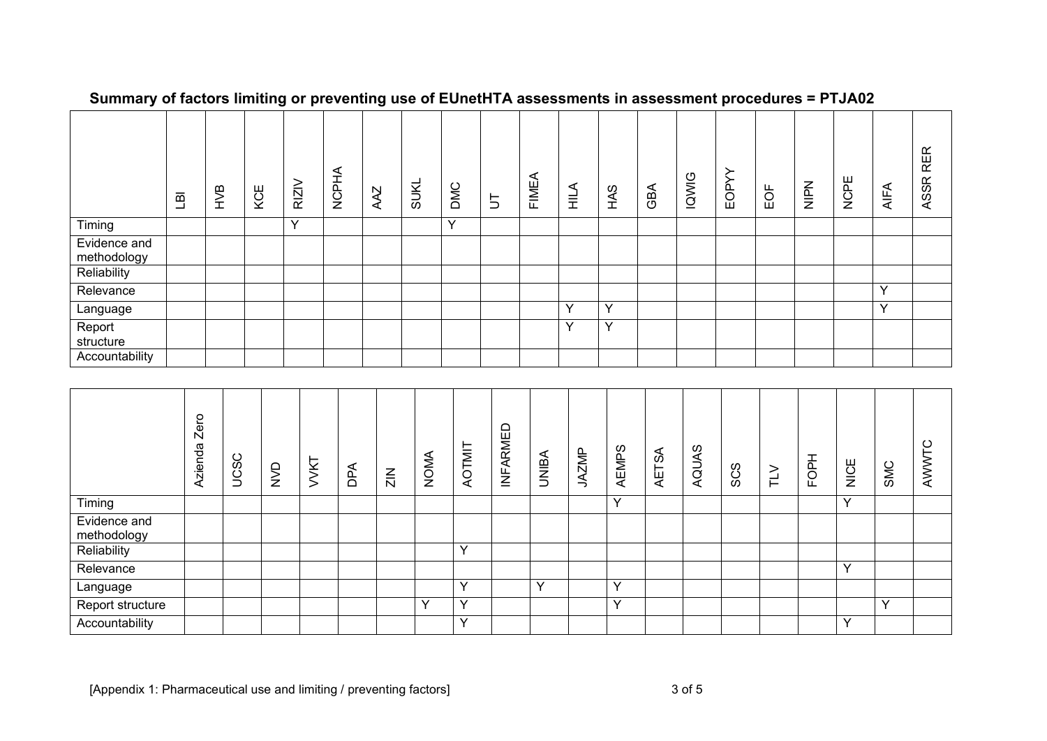|                                            | $\overline{B}$ | HVB | KCE | <b>RIZIV</b> | <b>NCPHA</b> | AAZ | <b>SUKL</b> | DMC          | $\overline{5}$ | ⋖<br><b>FIME</b> | ⋖<br>륖 | HAS          | GBA | <b>IQWIG</b> | ≻<br>EOPY | EOF | NIPN | <b>NCPE</b> | <b>AIFA</b>  | <b>RER</b><br><b>ASSR</b> |
|--------------------------------------------|----------------|-----|-----|--------------|--------------|-----|-------------|--------------|----------------|------------------|--------|--------------|-----|--------------|-----------|-----|------|-------------|--------------|---------------------------|
| Timing                                     |                |     |     | $\sqrt{}$    |              |     |             | $\checkmark$ |                |                  |        |              |     |              |           |     |      |             |              |                           |
| Evidence and<br>methodology<br>Reliability |                |     |     |              |              |     |             |              |                |                  |        |              |     |              |           |     |      |             |              |                           |
| Relevance                                  |                |     |     |              |              |     |             |              |                |                  |        |              |     |              |           |     |      |             | $\mathbf{v}$ |                           |
| Language                                   |                |     |     |              |              |     |             |              |                |                  | Y      | $\checkmark$ |     |              |           |     |      |             | $\checkmark$ |                           |
| Report<br>structure                        |                |     |     |              |              |     |             |              |                |                  | v      | $\checkmark$ |     |              |           |     |      |             |              |                           |
| Accountability                             |                |     |     |              |              |     |             |              |                |                  |        |              |     |              |           |     |      |             |              |                           |

## **Summary of factors limiting or preventing use of EUnetHTA assessments in assessment procedures = PTJA02**

|                             | ero<br>$\overline{\mathsf{N}}$<br>zienda<br>◀ | UCSC | <b>OVN</b> | VVKT | ⋖<br>$\overline{B}$ | $\frac{Z}{Z}$ | NOMA         | AOTMIT       | <b>INFARMED</b> | <b>UNIBA</b> | <b>JAZMP</b> | AEMPS        | AETSA | ၯ<br>AQUA! | SCS | $\geq$ | FOPH | NICE         | SMC | AWWTC |
|-----------------------------|-----------------------------------------------|------|------------|------|---------------------|---------------|--------------|--------------|-----------------|--------------|--------------|--------------|-------|------------|-----|--------|------|--------------|-----|-------|
| Timing                      |                                               |      |            |      |                     |               |              |              |                 |              |              | $\checkmark$ |       |            |     |        |      | $\checkmark$ |     |       |
| Evidence and<br>methodology |                                               |      |            |      |                     |               |              |              |                 |              |              |              |       |            |     |        |      |              |     |       |
| Reliability                 |                                               |      |            |      |                     |               |              | $\checkmark$ |                 |              |              |              |       |            |     |        |      |              |     |       |
| Relevance                   |                                               |      |            |      |                     |               |              |              |                 |              |              |              |       |            |     |        |      | $\checkmark$ |     |       |
| Language                    |                                               |      |            |      |                     |               |              | $\checkmark$ |                 | $\checkmark$ |              | $\checkmark$ |       |            |     |        |      |              |     |       |
| Report structure            |                                               |      |            |      |                     |               | $\checkmark$ | Y            |                 |              |              | Y            |       |            |     |        |      |              | v   |       |
| Accountability              |                                               |      |            |      |                     |               |              | $\checkmark$ |                 |              |              |              |       |            |     |        |      | v            |     |       |